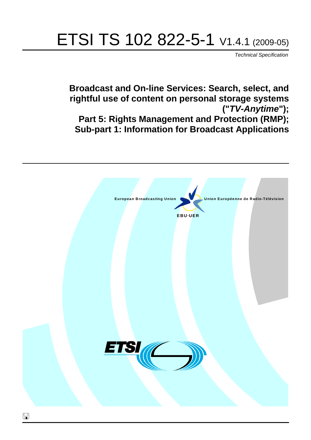# ETSI TS 102 822-5-1 V1.4.1 (2009-05)

*Technical Specification*

**Broadcast and On-line Services: Search, select, and rightful use of content on personal storage systems ("***TV-Anytime***"); Part 5: Rights Management and Protection (RMP); Sub-part 1: Information for Broadcast Applications**

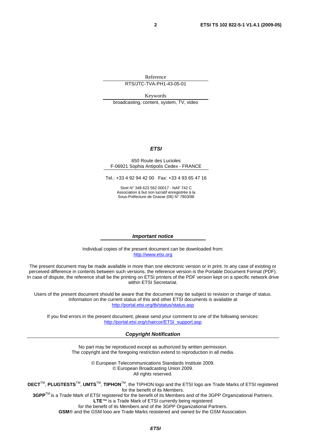Reference

RTS/JTC-TVA-PH1-43-05-01

Keywords broadcasting, content, system, TV, video

#### *ETSI*

#### 650 Route des Lucioles F-06921 Sophia Antipolis Cedex - FRANCE

Tel.: +33 4 92 94 42 00 Fax: +33 4 93 65 47 16

Siret N° 348 623 562 00017 - NAF 742 C Association à but non lucratif enregistrée à la Sous-Préfecture de Grasse (06) N° 7803/88

#### *Important notice*

Individual copies of the present document can be downloaded from: [http://www.etsi.org](http://www.etsi.org/)

The present document may be made available in more than one electronic version or in print. In any case of existing or perceived difference in contents between such versions, the reference version is the Portable Document Format (PDF). In case of dispute, the reference shall be the printing on ETSI printers of the PDF version kept on a specific network drive within ETSI Secretariat.

Users of the present document should be aware that the document may be subject to revision or change of status. Information on the current status of this and other ETSI documents is available at <http://portal.etsi.org/tb/status/status.asp>

If you find errors in the present document, please send your comment to one of the following services: [http://portal.etsi.org/chaircor/ETSI\\_support.asp](http://portal.etsi.org/chaircor/ETSI_support.asp)

#### *Copyright Notification*

No part may be reproduced except as authorized by written permission. The copyright and the foregoing restriction extend to reproduction in all media.

> © European Telecommunications Standards Institute 2009. © European Broadcasting Union 2009. All rights reserved.

**DECT**TM, **PLUGTESTS**TM, **UMTS**TM, **TIPHON**TM, the TIPHON logo and the ETSI logo are Trade Marks of ETSI registered for the benefit of its Members. **3GPP**TM is a Trade Mark of ETSI registered for the benefit of its Members and of the 3GPP Organizational Partners.

**LTE**™ is a Trade Mark of ETSI currently being registered

for the benefit of its Members and of the 3GPP Organizational Partners.

**GSM**® and the GSM logo are Trade Marks registered and owned by the GSM Association.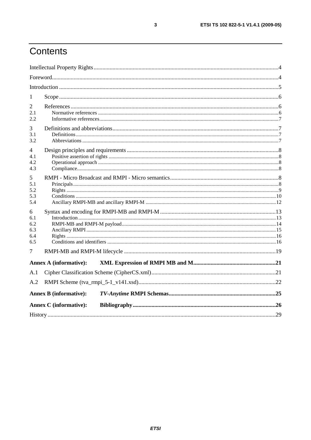# Contents

| 1                                    |                               |  |
|--------------------------------------|-------------------------------|--|
| 2<br>2.1<br>2.2                      |                               |  |
| 3<br>3.1<br>3.2                      |                               |  |
| 4<br>4.1<br>4.2<br>4.3               |                               |  |
| 5<br>5.1<br>5.2<br>5.3<br>5.4        |                               |  |
| 6<br>6.1<br>6.2<br>6.3<br>6.4<br>6.5 |                               |  |
| 7                                    |                               |  |
|                                      | <b>Annex A (informative):</b> |  |
| A.1                                  |                               |  |
| A.2                                  |                               |  |
|                                      | <b>Annex B</b> (informative): |  |
|                                      | <b>Annex C</b> (informative): |  |
|                                      |                               |  |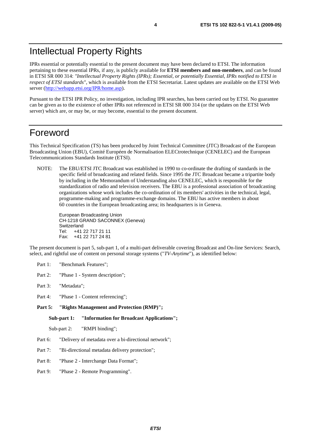### Intellectual Property Rights

IPRs essential or potentially essential to the present document may have been declared to ETSI. The information pertaining to these essential IPRs, if any, is publicly available for **ETSI members and non-members**, and can be found in ETSI SR 000 314: *"Intellectual Property Rights (IPRs); Essential, or potentially Essential, IPRs notified to ETSI in respect of ETSI standards"*, which is available from the ETSI Secretariat. Latest updates are available on the ETSI Web server ([http://webapp.etsi.org/IPR/home.asp\)](http://webapp.etsi.org/IPR/home.asp).

Pursuant to the ETSI IPR Policy, no investigation, including IPR searches, has been carried out by ETSI. No guarantee can be given as to the existence of other IPRs not referenced in ETSI SR 000 314 (or the updates on the ETSI Web server) which are, or may be, or may become, essential to the present document.

### Foreword

This Technical Specification (TS) has been produced by Joint Technical Committee (JTC) Broadcast of the European Broadcasting Union (EBU), Comité Européen de Normalisation ELECtrotechnique (CENELEC) and the European Telecommunications Standards Institute (ETSI).

NOTE: The EBU/ETSI JTC Broadcast was established in 1990 to co-ordinate the drafting of standards in the specific field of broadcasting and related fields. Since 1995 the JTC Broadcast became a tripartite body by including in the Memorandum of Understanding also CENELEC, which is responsible for the standardization of radio and television receivers. The EBU is a professional association of broadcasting organizations whose work includes the co-ordination of its members' activities in the technical, legal, programme-making and programme-exchange domains. The EBU has active members in about 60 countries in the European broadcasting area; its headquarters is in Geneva.

European Broadcasting Union CH-1218 GRAND SACONNEX (Geneva) Switzerland Tel: +41 22 717 21 11 Fax: +41 22 717 24 81

The present document is part 5, sub-part 1, of a multi-part deliverable covering Broadcast and On-line Services: Search, select, and rightful use of content on personal storage systems ("*TV-Anytime*"), as identified below:

- Part 1: "Benchmark Features";
- Part 2: "Phase 1 System description";
- Part 3: "Metadata";
- Part 4: "Phase 1 Content referencing":
- Part 5: "Rights Management and Protection (RMP)";

**Sub-part 1: "Information for Broadcast Applications";** 

Sub-part 2: "RMPI binding";

- Part 6: "Delivery of metadata over a bi-directional network";
- Part 7: "Bi-directional metadata delivery protection";
- Part 8: "Phase 2 Interchange Data Format";
- Part 9: "Phase 2 Remote Programming".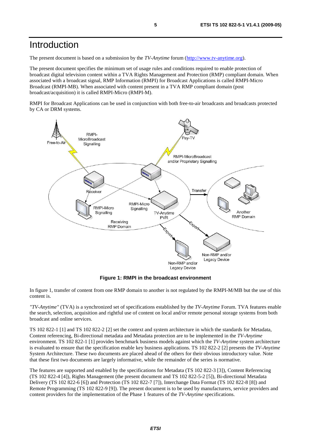### Introduction

The present document is based on a submission by the *TV-Anytime* forum [\(http://www.tv-anytime.org](http://www.tv-anytime.org/)).

The present document specifies the minimum set of usage rules and conditions required to enable protection of broadcast digital television content within a TVA Rights Management and Protection (RMP) compliant domain. When associated with a broadcast signal, RMP Information (RMPI) for Broadcast Applications is called RMPI-Micro Broadcast (RMPI-MB). When associated with content present in a TVA RMP compliant domain (post broadcast/acquisition) it is called RMPI-Micro (RMPI-M).

RMPI for Broadcast Applications can be used in conjunction with both free-to-air broadcasts and broadcasts protected by CA or DRM systems.



**Figure 1: RMPI in the broadcast environment** 

In figure 1, transfer of content from one RMP domain to another is not regulated by the RMPI-M/MB but the use of this content is.

*"TV-Anytime"* (TVA) is a synchronized set of specifications established by the *TV-Anytime* Forum. TVA features enable the search, selection, acquisition and rightful use of content on local and/or remote personal storage systems from both broadcast and online services.

TS 102 822-1 [1] and TS 102 822-2 [2] set the context and system architecture in which the standards for Metadata, Content referencing, Bi-directional metadata and Metadata protection are to be implemented in the *TV-Anytime* environment. TS 102 822-1 [1] provides benchmark business models against which the *TV-Anytime* system architecture is evaluated to ensure that the specification enable key business applications. TS 102 822-2 [2] presents the *TV-Anytime* System Architecture. These two documents are placed ahead of the others for their obvious introductory value. Note that these first two documents are largely informative, while the remainder of the series is normative.

The features are supported and enabled by the specifications for Metadata (TS 102 822-3 [3]), Content Referencing (TS 102 822-4 [4]), Rights Management (the present document and TS 102 822-5-2 [5]), Bi-directional Metadata Delivery (TS 102 822-6 [6]) and Protection (TS 102 822-7 [7]), Interchange Data Format (TS 102 822-8 [8]) and Remote Programming (TS 102 822-9 [9]). The present document is to be used by manufacturers, service providers and content providers for the implementation of the Phase 1 features of the *TV-Anytime* specifications.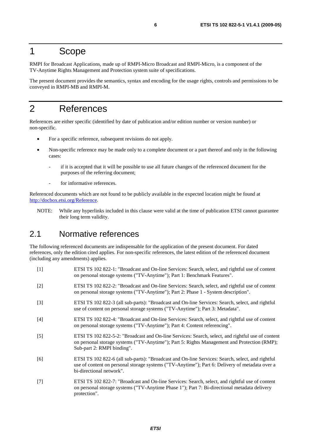### 1 Scope

RMPI for Broadcast Applications, made up of RMPI-Micro Broadcast and RMPI-Micro, is a component of the TV-Anytime Rights Management and Protection system suite of specifications.

The present document provides the semantics, syntax and encoding for the usage rights, controls and permissions to be conveyed in RMPI-MB and RMPI-M.

### 2 References

References are either specific (identified by date of publication and/or edition number or version number) or non-specific.

- For a specific reference, subsequent revisions do not apply.
- Non-specific reference may be made only to a complete document or a part thereof and only in the following cases:
	- if it is accepted that it will be possible to use all future changes of the referenced document for the purposes of the referring document;
	- for informative references.

Referenced documents which are not found to be publicly available in the expected location might be found at [http://docbox.etsi.org/Reference.](http://docbox.etsi.org/Reference)

NOTE: While any hyperlinks included in this clause were valid at the time of publication ETSI cannot guarantee their long term validity.

### 2.1 Normative references

The following referenced documents are indispensable for the application of the present document. For dated references, only the edition cited applies. For non-specific references, the latest edition of the referenced document (including any amendments) applies.

- [1] ETSI TS 102 822-1: "Broadcast and On-line Services: Search, select, and rightful use of content on personal storage systems ("TV-Anytime"); Part 1: Benchmark Features".
- [2] ETSI TS 102 822-2: "Broadcast and On-line Services: Search, select, and rightful use of content on personal storage systems ("TV-Anytime"); Part 2: Phase 1 - System description".
- [3] ETSI TS 102 822-3 (all sub-parts): "Broadcast and On-line Services: Search, select, and rightful use of content on personal storage systems ("TV-Anytime"); Part 3: Metadata".
- [4] ETSI TS 102 822-4: "Broadcast and On-line Services: Search, select, and rightful use of content on personal storage systems ("TV-Anytime"); Part 4: Content referencing".
- [5] ETSI TS 102 822-5-2: "Broadcast and On-line Services: Search, select, and rightful use of content on personal storage systems ("TV-Anytime"); Part 5: Rights Management and Protection (RMP); Sub-part 2: RMPI binding".
- [6] ETSI TS 102 822-6 (all sub-parts): "Broadcast and On-line Services: Search, select, and rightful use of content on personal storage systems ("TV-Anytime"); Part 6: Delivery of metadata over a bi-directional network".
- [7] ETSI TS 102 822-7: "Broadcast and On-line Services: Search, select, and rightful use of content on personal storage systems ("TV-Anytime Phase 1"); Part 7: Bi-directional metadata delivery protection".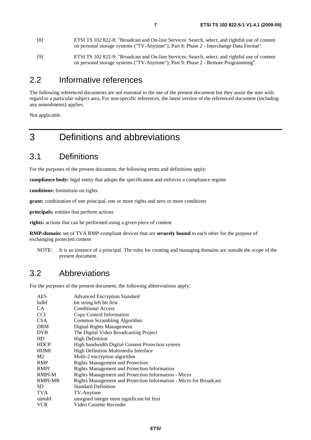- [8] ETSI TS 102 822-8: "Broadcast and On-line Services: Search, select, and rightful use of content on personal storage systems ("TV-Anytime"); Part 8: Phase 2 - Interchange Data Format".
- [9] ETSI TS 102 822-9: "Broadcast and On-line Services: Search, select, and rightful use of content on personal storage systems ("TV-Anytime"); Part 9: Phase 2 - Remote Programming".

### 2.2 Informative references

The following referenced documents are not essential to the use of the present document but they assist the user with regard to a particular subject area**.** For non-specific references, the latest version of the referenced document (including any amendments) applies.

Not applicable.

# 3 Definitions and abbreviations

### 3.1 Definitions

For the purposes of the present document, the following terms and definitions apply:

**compliance body:** legal entity that adopts the specification and enforces a compliance regime

**conditions:** limitations on rights

**grant:** combination of one principal, one or more rights and zero or more conditions

**principals:** entities that perform actions

**rights:** actions that can be performed using a given piece of content

**RMP-domain:** set of TVA RMP-compliant devices that are **securely bound** to each other for the purpose of exchanging protected content

NOTE: It is an instance of a principal. The rules for creating and managing domains are outside the scope of the present document.

### 3.2 Abbreviations

For the purposes of the present document, the following abbreviations apply:

| <b>AES</b>     | <b>Advanced Encryption Standard</b>                                |
|----------------|--------------------------------------------------------------------|
| bslbf          | bit string left bit first                                          |
| CA.            | <b>Conditional Access</b>                                          |
| <b>CCI</b>     | Copy Control Information                                           |
| <b>CSA</b>     | Common Scrambling Algorithm                                        |
| <b>DRM</b>     | Digital Rights Management                                          |
| <b>DVB</b>     | The Digital Video Broadcasting Project                             |
| HD             | <b>High Definition</b>                                             |
| <b>HDCP</b>    | High bandwidth Digital Content Protection system                   |
| <b>HDMI</b>    | High Definition Multimedia Interface                               |
| M <sub>2</sub> | Multi-2 encryption algorithm                                       |
| <b>RMP</b>     | <b>Rights Management and Protection</b>                            |
| <b>RMPI</b>    | <b>Rights Management and Protection Information</b>                |
| RMPI-M         | Rights Management and Protection Information - Micro               |
| <b>RMPI-MB</b> | Rights Management and Protection Information - Micro for Broadcast |
| SD.            | <b>Standard Definition</b>                                         |
| <b>TVA</b>     | TV-Anytime                                                         |
| uimsbf         | unsigned integer most significant bit first                        |
| <b>VCR</b>     | Video Cassette Recorder                                            |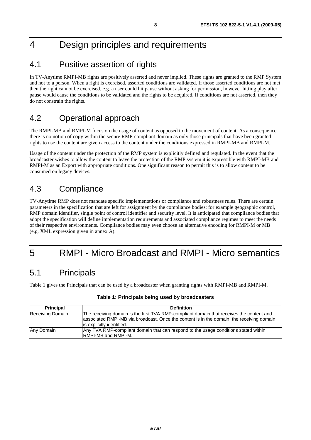# 4 Design principles and requirements

### 4.1 Positive assertion of rights

In TV-Anytime RMPI-MB rights are positively asserted and never implied. These rights are granted to the RMP System and not to a person. When a right is exercised, asserted conditions are validated. If those asserted conditions are not met then the right cannot be exercised, e.g. a user could hit pause without asking for permission, however hitting play after pause would cause the conditions to be validated and the rights to be acquired. If conditions are not asserted, then they do not constrain the rights.

### 4.2 Operational approach

The RMPI-MB and RMPI-M focus on the usage of content as opposed to the movement of content. As a consequence there is no notion of copy within the secure RMP-compliant domain as only those principals that have been granted rights to use the content are given access to the content under the conditions expressed in RMPI-MB and RMPI-M.

Usage of the content under the protection of the RMP system is explicitly defined and regulated. In the event that the broadcaster wishes to allow the content to leave the protection of the RMP system it is expressible with RMPI-MB and RMPI-M as an Export with appropriate conditions. One significant reason to permit this is to allow content to be consumed on legacy devices.

### 4.3 Compliance

TV-Anytime RMP does not mandate specific implementations or compliance and robustness rules. There are certain parameters in the specification that are left for assignment by the compliance bodies; for example geographic control, RMP domain identifier, single point of control identifier and security level. It is anticipated that compliance bodies that adopt the specification will define implementation requirements and associated compliance regimes to meet the needs of their respective environments. Compliance bodies may even choose an alternative encoding for RMPI-M or MB (e.g. XML expression given in annex A).

# 5 RMPI - Micro Broadcast and RMPI - Micro semantics

### 5.1 Principals

Table 1 gives the Principals that can be used by a broadcaster when granting rights with RMPI-MB and RMPI-M.

| <b>Principal</b> | <b>Definition</b>                                                                                                                                                                                                  |
|------------------|--------------------------------------------------------------------------------------------------------------------------------------------------------------------------------------------------------------------|
| Receiving Domain | The receiving domain is the first TVA RMP-compliant domain that receives the content and<br>associated RMPI-MB via broadcast. Once the content is in the domain, the receiving domain<br>is explicitly identified. |
| Any Domain       | Any TVA RMP-compliant domain that can respond to the usage conditions stated within<br><b>IRMPI-MB and RMPI-M.</b>                                                                                                 |

#### **Table 1: Principals being used by broadcasters**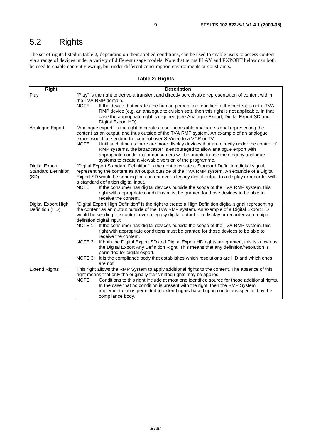# 5.2 Rights

The set of rights listed in table 2, depending on their applied conditions, can be used to enable users to access content via a range of devices under a variety of different usage models. Note that terms PLAY and EXPORT below can both be used to enable content viewing, but under different consumption environments or constraints.

#### **Table 2: Rights**

| <b>Right</b>               | <b>Description</b>                                                                                    |  |  |
|----------------------------|-------------------------------------------------------------------------------------------------------|--|--|
| Play                       | "Play" is the right to derive a transient and directly perceivable representation of content within   |  |  |
|                            | the TVA RMP domain.                                                                                   |  |  |
|                            | NOTE:<br>If the device that creates the human perceptible rendition of the content is not a TVA       |  |  |
|                            | RMP device (e.g. an analogue television set), then this right is not applicable. In that              |  |  |
|                            | case the appropriate right is required (see Analogue Export, Digital Export SD and                    |  |  |
|                            | Digital Export HD).                                                                                   |  |  |
| Analogue Export            | "Analogue export" is the right to create a user accessible analogue signal representing the           |  |  |
|                            | content as an output, and thus outside of the TVA RMP system. An example of an analogue               |  |  |
|                            | export would be sending the content over S-Video to a VCR or TV.                                      |  |  |
|                            | NOTE:<br>Until such time as there are more display devices that are directly under the control of     |  |  |
|                            | RMP systems, the broadcaster is encouraged to allow analogue export with                              |  |  |
|                            | appropriate conditions or consumers will be unable to use their legacy analogue                       |  |  |
|                            | systems to create a viewable version of the programme.                                                |  |  |
| <b>Digital Export</b>      | "Digital Export Standard Definition" is the right to create a Standard Definition digital signal      |  |  |
| <b>Standard Definition</b> | representing the content as an output outside of the TVA RMP system. An example of a Digital          |  |  |
| (SD)                       | Export SD would be sending the content over a legacy digital output to a display or recorder with     |  |  |
|                            | a standard definition digital input.                                                                  |  |  |
|                            | NOTE:<br>If the consumer has digital devices outside the scope of the TVA RMP system, this            |  |  |
|                            | right with appropriate conditions must be granted for those devices to be able to                     |  |  |
|                            | receive the content.                                                                                  |  |  |
| Digital Export High        | "Digital Export High Definition" is the right to create a High Definition digital signal representing |  |  |
| Definition (HD)            | the content as an output outside of the TVA RMP system. An example of a Digital Export HD             |  |  |
|                            | would be sending the content over a legacy digital output to a display or recorder with a high        |  |  |
|                            | definition digital input.                                                                             |  |  |
|                            | NOTE 1: If the consumer has digital devices outside the scope of the TVA RMP system, this             |  |  |
|                            | right with appropriate conditions must be granted for those devices to be able to                     |  |  |
|                            | receive the content.                                                                                  |  |  |
|                            | NOTE 2:<br>If both the Digital Export SD and Digital Export HD rights are granted, this is known as   |  |  |
|                            | the Digital Export Any Definition Right. This means that any definition/resolution is                 |  |  |
|                            | permitted for digital export.                                                                         |  |  |
|                            | NOTE 3:<br>It is the compliance body that establishes which resolutions are HD and which ones         |  |  |
|                            | are not.                                                                                              |  |  |
| <b>Extend Rights</b>       | This right allows the RMP System to apply additional rights to the content. The absence of this       |  |  |
|                            | right means that only the originally transmitted rights may be applied.                               |  |  |
|                            | NOTE:<br>Conditions to this right include at most one identified source for those additional rights.  |  |  |
|                            | In the case that no condition is present with the right, then the RMP System                          |  |  |
|                            | implementation is permitted to extend rights based upon conditions specified by the                   |  |  |
|                            | compliance body.                                                                                      |  |  |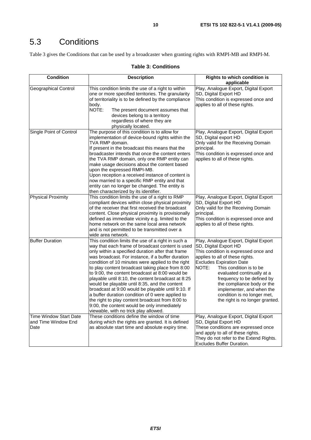# 5.3 Conditions

Table 3 gives the Conditions that can be used by a broadcaster when granting rights with RMPI-MB and RMPI-M.

#### **Table 3: Conditions**

| <b>Condition</b>                                             | <b>Description</b>                                                                                                                                                                                                                                                                                                                                                                                                                                                                                                                                                                                                                                                                                                                        | <b>Rights to which condition is</b><br>applicable                                                                                                                                                                                                                                                                                                                                                         |
|--------------------------------------------------------------|-------------------------------------------------------------------------------------------------------------------------------------------------------------------------------------------------------------------------------------------------------------------------------------------------------------------------------------------------------------------------------------------------------------------------------------------------------------------------------------------------------------------------------------------------------------------------------------------------------------------------------------------------------------------------------------------------------------------------------------------|-----------------------------------------------------------------------------------------------------------------------------------------------------------------------------------------------------------------------------------------------------------------------------------------------------------------------------------------------------------------------------------------------------------|
| <b>Geographical Control</b>                                  | This condition limits the use of a right to within<br>one or more specified territories. The granularity<br>of territoriality is to be defined by the compliance<br>body.<br>NOTE:<br>The present document assumes that<br>devices belong to a territory<br>regardless of where they are<br>physically located.                                                                                                                                                                                                                                                                                                                                                                                                                           | Play, Analogue Export, Digital Export<br>SD, Digital Export HD<br>This condition is expressed once and<br>applies to all of these rights.                                                                                                                                                                                                                                                                 |
| Single Point of Control                                      | The purpose of this condition is to allow for<br>implementation of device-bound rights within the<br>TVA RMP domain.<br>If present in the broadcast this means that the<br>broadcaster intends that once the content enters<br>the TVA RMP domain, only one RMP entity can<br>make usage decisions about the content based<br>upon the expressed RMPI-MB.<br>Upon reception a received instance of content is<br>now married to a specific RMP entity and that<br>entity can no longer be changed. The entity is<br>then characterized by its identifier.                                                                                                                                                                                 | Play, Analogue Export, Digital Export<br>SD, Digital export HD<br>Only valid for the Receiving Domain<br>principal.<br>This condition is expressed once and<br>applies to all of these rights.                                                                                                                                                                                                            |
| <b>Physical Proximity</b>                                    | This condition limits the use of a right to RMP<br>compliant devices within close physical proximity<br>of the receiver that first received the broadcast<br>content. Close physical proximity is provisionally<br>defined as immediate vicinity e.g. limited to the<br>home network on the same local area network<br>and is not permitted to be transmitted over a<br>wide area network.                                                                                                                                                                                                                                                                                                                                                | Play, Analogue Export, Digital Export<br>SD, Digital Export HD<br>Only valid for the Receiving Domain<br>principal.<br>This condition is expressed once and<br>applies to all of these rights.                                                                                                                                                                                                            |
| <b>Buffer Duration</b>                                       | This condition limits the use of a right in such a<br>way that each frame of broadcast content is used<br>only within a specified duration after that frame<br>was broadcast. For instance, if a buffer duration<br>condition of 10 minutes were applied to the right<br>to play content broadcast taking place from 8:00<br>to 9:00, the content broadcast at 8:00 would be<br>playable until 8:10, the content broadcast at 8:25<br>would be playable until 8:35, and the content<br>broadcast at 9:00 would be playable until 9:10. If<br>a buffer duration condition of 0 were applied to<br>the right to play content broadcast from 8:00 to<br>9:00, the content would be only immediately<br>viewable, with no trick play allowed. | Play, Analogue Export, Digital Export<br>SD, Digital Export HD<br>This condition is expressed once and<br>applies to all of these rights.<br><b>Excludes Expiration Date</b><br>NOTE:<br>This condition is to be<br>evaluated continually at a<br>frequency to be defined by<br>the compliance body or the<br>implementer, and when the<br>condition is no longer met,<br>the right is no longer granted. |
| <b>Time Window Start Date</b><br>and Time Window End<br>Date | These conditions define the window of time<br>during which the rights are granted. It is defined<br>as absolute start time and absolute expiry time.                                                                                                                                                                                                                                                                                                                                                                                                                                                                                                                                                                                      | Play, Analogue Export, Digital Export<br>SD, Digital Export HD<br>These conditions are expressed once<br>and apply to all of these rights.<br>They do not refer to the Extend Rights.<br>Excludes Buffer Duration.                                                                                                                                                                                        |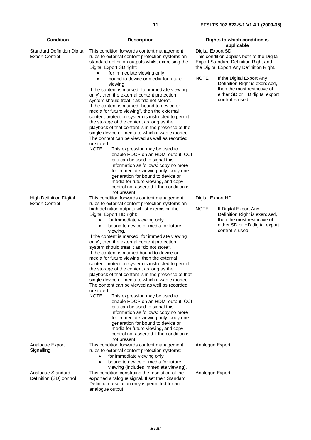| <b>Condition</b>                                            | <b>Description</b>                                                                                                                                                                                                                                                                                                                                                                                                                                                                                                                                                                                                                                                                                                                                                                                                                                                                                                                                                                                                                                                                | <b>Rights to which condition is</b>                                                                                                                                                       |
|-------------------------------------------------------------|-----------------------------------------------------------------------------------------------------------------------------------------------------------------------------------------------------------------------------------------------------------------------------------------------------------------------------------------------------------------------------------------------------------------------------------------------------------------------------------------------------------------------------------------------------------------------------------------------------------------------------------------------------------------------------------------------------------------------------------------------------------------------------------------------------------------------------------------------------------------------------------------------------------------------------------------------------------------------------------------------------------------------------------------------------------------------------------|-------------------------------------------------------------------------------------------------------------------------------------------------------------------------------------------|
|                                                             |                                                                                                                                                                                                                                                                                                                                                                                                                                                                                                                                                                                                                                                                                                                                                                                                                                                                                                                                                                                                                                                                                   | applicable                                                                                                                                                                                |
| <b>Standard Definition Digital</b><br><b>Export Control</b> | This condition forwards content management<br>rules to external content protection systems on<br>standard definition outputs whilst exercising the<br>Digital Export SD right:<br>for immediate viewing only<br>bound to device or media for future                                                                                                                                                                                                                                                                                                                                                                                                                                                                                                                                                                                                                                                                                                                                                                                                                               | Digital Export SD<br>This condition applies both to the Digital<br>Export Standard Definition Right and<br>the Digital Export Any Definition Right.<br>NOTE:<br>If the Digital Export Any |
|                                                             | viewing.<br>If the content is marked "for immediate viewing<br>only", then the external content protection<br>system should treat it as "do not store".<br>If the content is marked "bound to device or<br>media for future viewing", then the external<br>content protection system is instructed to permit<br>the storage of the content as long as the<br>playback of that content is in the presence of the<br>single device or media to which it was exported.<br>The content can be viewed as well as recorded<br>or stored.<br>NOTE:<br>This expression may be used to<br>enable HDCP on an HDMI output. CCI<br>bits can be used to signal this<br>information as follows: copy no more<br>for immediate viewing only, copy one<br>generation for bound to device or<br>media for future viewing, and copy<br>control not asserted if the condition is                                                                                                                                                                                                                     | Definition Right is exercised,<br>then the most restrictive of<br>either SD or HD digital export<br>control is used.                                                                      |
|                                                             | not present.                                                                                                                                                                                                                                                                                                                                                                                                                                                                                                                                                                                                                                                                                                                                                                                                                                                                                                                                                                                                                                                                      |                                                                                                                                                                                           |
| High Definition Digital                                     | This condition forwards content management                                                                                                                                                                                                                                                                                                                                                                                                                                                                                                                                                                                                                                                                                                                                                                                                                                                                                                                                                                                                                                        | Digital Export HD                                                                                                                                                                         |
| <b>Export Control</b>                                       | rules to external content protection systems on<br>high definition outputs whilst exercising the<br>Digital Export HD right:<br>for immediate viewing only<br>bound to device or media for future<br>viewing.<br>If the content is marked "for immediate viewing<br>only", then the external content protection<br>system should treat it as "do not store".<br>If the content is marked bound to device or<br>media for future viewing, then the external<br>content protection system is instructed to permit<br>the storage of the content as long as the<br>playback of that content is in the presence of that<br>single device or media to which it was exported.<br>The content can be viewed as well as recorded<br>or stored.<br>NOTE:<br>This expression may be used to<br>enable HDCP on an HDMI output. CCI<br>bits can be used to signal this<br>information as follows: copy no more<br>for immediate viewing only, copy one<br>generation for bound to device or<br>media for future viewing, and copy<br>control not asserted if the condition is<br>not present. | NOTE:<br>If Digital Export Any<br>Definition Right is exercised,<br>then the most restrictive of<br>either SD or HD digital export<br>control is used.                                    |
| Analogue Export                                             | This condition forwards content management                                                                                                                                                                                                                                                                                                                                                                                                                                                                                                                                                                                                                                                                                                                                                                                                                                                                                                                                                                                                                                        | Analogue Export                                                                                                                                                                           |
| Signalling                                                  | rules to external content protection systems:<br>for immediate viewing only<br>$\bullet$<br>bound to device or media for future<br>$\bullet$<br>viewing (includes immediate viewing).                                                                                                                                                                                                                                                                                                                                                                                                                                                                                                                                                                                                                                                                                                                                                                                                                                                                                             |                                                                                                                                                                                           |
| Analogue Standard<br>Definition (SD) control                | This condition constrains the resolution of the<br>exported analogue signal. If set then Standard<br>Definition resolution only is permitted for an<br>analogue output.                                                                                                                                                                                                                                                                                                                                                                                                                                                                                                                                                                                                                                                                                                                                                                                                                                                                                                           | Analogue Export                                                                                                                                                                           |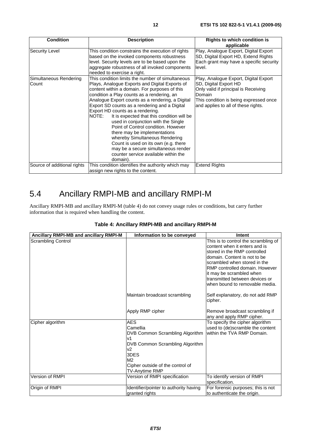| <b>Condition</b>                | <b>Description</b>                                                                                                                                                                                                                                                                                                                                                                                                                                                                                                                                                                                                                                                                   | Rights to which condition is<br>applicable                                                                                                                                                        |
|---------------------------------|--------------------------------------------------------------------------------------------------------------------------------------------------------------------------------------------------------------------------------------------------------------------------------------------------------------------------------------------------------------------------------------------------------------------------------------------------------------------------------------------------------------------------------------------------------------------------------------------------------------------------------------------------------------------------------------|---------------------------------------------------------------------------------------------------------------------------------------------------------------------------------------------------|
| <b>Security Level</b>           | This condition constrains the execution of rights<br>based on the invoked components robustness<br>level. Security levels are to be based upon the<br>aggregate robustness of all invoked components<br>needed to exercise a right.                                                                                                                                                                                                                                                                                                                                                                                                                                                  | Play, Analogue Export, Digital Export<br>SD, Digital Export HD, Extend Rights<br>Each grant may have a specific security<br>level.                                                                |
| Simultaneous Rendering<br>Count | This condition limits the number of simultaneous<br>Plays, Analogue Exports and Digital Exports of<br>content within a domain. For purposes of this<br>condition a Play counts as a rendering, an<br>Analogue Export counts as a rendering, a Digital<br>Export SD counts as a rendering and a Digital<br>Export HD counts as a rendering.<br>NOTE:<br>It is expected that this condition will be<br>used in conjunction with the Single<br>Point of Control condition. However<br>there may be implementations<br>whereby Simultaneous Rendering<br>Count is used on its own (e.g. there<br>may be a secure simultaneous render<br>counter service available within the<br>domain). | Play, Analogue Export, Digital Export<br>SD, Digital Export HD<br>Only valid if principal is Receiving<br>Domain<br>This condition is being expressed once<br>and applies to all of these rights. |
| Source of additional rights     | This condition identifies the authority which may<br>assign new rights to the content.                                                                                                                                                                                                                                                                                                                                                                                                                                                                                                                                                                                               | <b>Extend Rights</b>                                                                                                                                                                              |

# 5.4 Ancillary RMPI-MB and ancillary RMPI-M

Ancillary RMPI-MB and ancillary RMPI-M (table 4) do not convey usage rules or conditions, but carry further information that is required when handling the content.

| Ancillary RMPI-MB and ancillary RMPI-M | Information to be conveyed                         | Intent                                                                                                |
|----------------------------------------|----------------------------------------------------|-------------------------------------------------------------------------------------------------------|
| <b>Scrambling Control</b>              |                                                    | This is to control the scrambling of<br>content when it enters and is<br>stored in the RMP controlled |
|                                        |                                                    | domain. Content is not to be                                                                          |
|                                        |                                                    | scrambled when stored in the<br>RMP controlled domain. However                                        |
|                                        |                                                    | it may be scrambled when                                                                              |
|                                        |                                                    | transmitted between devices or                                                                        |
|                                        |                                                    | when bound to removable media.                                                                        |
|                                        | Maintain broadcast scrambling                      | Self explanatory, do not add RMP<br>cipher.                                                           |
|                                        | Apply RMP cipher                                   | Remove broadcast scrambling if<br>any and apply RMP cipher.                                           |
| Cipher algorithm                       | <b>AES</b>                                         | To specify the cipher algorithm                                                                       |
|                                        | Camellia<br>DVB Common Scrambling Algorithm        | used to (de)scramble the content<br>within the TVA RMP Domain.                                        |
|                                        | v1                                                 |                                                                                                       |
|                                        | DVB Common Scrambling Algorithm                    |                                                                                                       |
|                                        | v2                                                 |                                                                                                       |
|                                        | 3DES                                               |                                                                                                       |
|                                        | M <sub>2</sub><br>Cipher outside of the control of |                                                                                                       |
|                                        | TV-Anytime RMP                                     |                                                                                                       |
| Version of RMPI                        | Version of RMPI specification                      | To identify version of RMPI                                                                           |
|                                        |                                                    | specification.                                                                                        |
| Origin of RMPI                         | Identifier/pointer to authority having             | For forensic purposes; this is not                                                                    |
|                                        | granted rights                                     | to authenticate the origin.                                                                           |

#### **Table 4: Ancillary RMPI-MB and ancillary RMPI-M**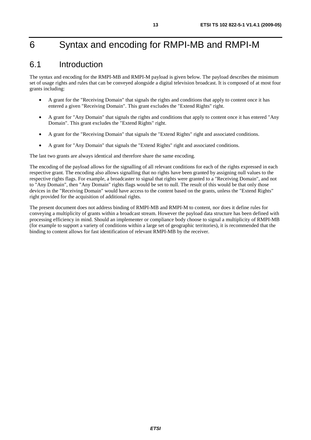# 6 Syntax and encoding for RMPI-MB and RMPI-M

### 6.1 Introduction

The syntax and encoding for the RMPI-MB and RMPI-M payload is given below. The payload describes the minimum set of usage rights and rules that can be conveyed alongside a digital television broadcast. It is composed of at most four grants including:

- A grant for the "Receiving Domain" that signals the rights and conditions that apply to content once it has entered a given "Receiving Domain". This grant excludes the "Extend Rights" right.
- A grant for "Any Domain" that signals the rights and conditions that apply to content once it has entered "Any Domain". This grant excludes the "Extend Rights" right.
- A grant for the "Receiving Domain" that signals the "Extend Rights" right and associated conditions.
- A grant for "Any Domain" that signals the "Extend Rights" right and associated conditions.

The last two grants are always identical and therefore share the same encoding.

The encoding of the payload allows for the signalling of all relevant conditions for each of the rights expressed in each respective grant. The encoding also allows signalling that no rights have been granted by assigning null values to the respective rights flags. For example, a broadcaster to signal that rights were granted to a "Receiving Domain", and not to "Any Domain", then "Any Domain" rights flags would be set to null. The result of this would be that only those devices in the "Receiving Domain" would have access to the content based on the grants, unless the "Extend Rights" right provided for the acquisition of additional rights.

The present document does not address binding of RMPI-MB and RMPI-M to content, nor does it define rules for conveying a multiplicity of grants within a broadcast stream. However the payload data structure has been defined with processing efficiency in mind. Should an implementer or compliance body choose to signal a multiplicity of RMPI-MB (for example to support a variety of conditions within a large set of geographic territories), it is recommended that the binding to content allows for fast identification of relevant RMPI-MB by the receiver.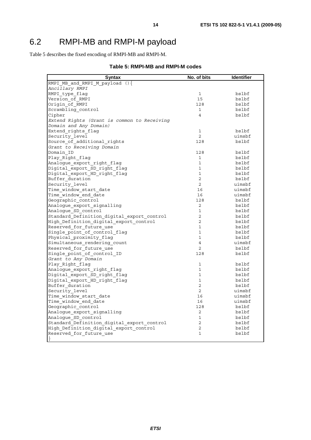# 6.2 RMPI-MB and RMPI-M payload

Table 5 describes the fixed encoding of RMPI-MB and RMPI-M.

|  |  | Table 5: RMPI-MB and RMPI-M codes |  |
|--|--|-----------------------------------|--|
|--|--|-----------------------------------|--|

| Syntax                                      | No. of bits    | <b>Identifier</b> |
|---------------------------------------------|----------------|-------------------|
| RMPI MB and RMPI M payload $()$             |                |                   |
| Ancillary RMPI                              |                |                   |
| RMPI type flag                              | 1              | bslbf             |
| Version of RMPI                             | 15             | bslbf             |
| Origin of RMPI                              | 128            | bslbf             |
| Scrambling control                          | 1              | bslbf             |
| Cipher                                      | $\overline{4}$ | bslbf             |
| Extend Rights (Grant is common to Receiving |                |                   |
| Domain and Any Domain)                      |                |                   |
| Extend rights flag                          | $\mathbf{1}$   | bslbf             |
| Security level                              | 2              | uimsbf            |
| Source_of_additional_rights                 | 128            | bslbf             |
| Grant to Receiving Domain                   |                |                   |
| Domain ID                                   | 128            | bslbf             |
| Play Right flag                             | $\mathbf{1}$   | bslbf             |
| Analogue export right flag                  | $\mathbf{1}$   | bslbf             |
| Digital export SD right flag                | $\mathbf{1}$   | bslbf             |
| Digital_export_HD_right_flag                | $\mathbf{1}$   | bslbf             |
| Buffer_duration                             | 2              | bslbf             |
| Security level                              | $\overline{2}$ | uimsbf            |
| Time window start date                      | 16             | uimsbf            |
| Time window end date                        | 16             | uimsbf            |
| Geographic control                          | 128            | bslbf             |
| Analogue export signalling                  | $\overline{2}$ | bslbf             |
| Analogue SD control                         | $\mathbf 1$    | bslbf             |
| Standard Definition digital export control  | $\overline{2}$ | bslbf             |
| High Definition digital export control      | 2              | bslbf             |
| Reserved for future use                     | $\mathbf{1}$   | bslbf             |
| Single point of control flag                | $\mathbf{1}$   | bslbf             |
| Physical_proximity_flag                     | $\mathbf{1}$   | bslbf             |
| Simultaneous rendering count                | $\overline{4}$ | uimsbf            |
| Reserved_for_future_use                     | 2              | bslbf             |
| Single point of control ID                  | 128            | bslbf             |
| Grant to Any Domain                         |                |                   |
| Play Right flag                             | $\mathbf{1}$   | bslbf             |
| Analogue_export_right_flag                  | 1              | bslbf             |
| Digital export SD right flag                | $\mathbf{1}$   | bslbf             |
| Digital export HD right flag                | $\mathbf{1}$   | bslbf             |
| Buffer duration                             | 2              | bslbf             |
| Security_level                              | $\overline{2}$ | uimsbf            |
| Time window start date                      | 16             | uimsbf            |
| Time window end date                        | 16             | uimsbf            |
| Geographic control                          | 128            | bslbf             |
| Analogue export signalling                  | 2              | bslbf             |
| Analoque SD control                         | $\mathbf 1$    | bslbf             |
| Standard Definition digital export control  | 2              | bslbf             |
| High Definition digital export control      | $\overline{2}$ | bslbf             |
| Reserved for future use                     | $\mathbf{1}$   | bslbf             |
| $\}$                                        |                |                   |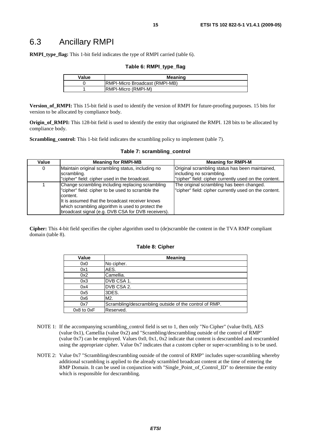**RMPI\_type\_flag:** This 1-bit field indicates the type of RMPI carried (table 6).

#### **Table 6: RMPI\_type\_flag**

| Value | <b>Meaning</b>                  |  |
|-------|---------------------------------|--|
|       | IRMPI-Micro Broadcast (RMPI-MB) |  |
|       | IRMPI-Micro (RMPI-M)            |  |

**Version\_of\_RMPI:** This 15-bit field is used to identify the version of RMPI for future-proofing purposes. 15 bits for version to be allocated by compliance body.

**Origin of RMPI:** This 128-bit field is used to identify the entity that originated the RMPI. 128 bits to be allocated by compliance body.

**Scrambling\_control:** This 1-bit field indicates the scrambling policy to implement (table 7).

| Value | <b>Meaning for RMPI-MB</b>                         | <b>Meaning for RMPI-M</b>                             |
|-------|----------------------------------------------------|-------------------------------------------------------|
| 0     | Maintain original scrambling status, including no  | Original scrambling status has been maintained,       |
|       | scrambling.                                        | including no scrambling.                              |
|       | "cipher" field: cipher used in the broadcast.      | "cipher" field: cipher currently used on the content. |
|       | Change scrambling including replacing scrambling   | The original scrambling has been changed.             |
|       | "cipher" field: cipher to be used to scramble the  | "cipher" field: cipher currently used on the content. |
|       | content.                                           |                                                       |
|       | It is assumed that the broadcast receiver knows    |                                                       |
|       | which scrambling algorithm is used to protect the  |                                                       |
|       | broadcast signal (e.g. DVB CSA for DVB receivers). |                                                       |

#### **Table 7: scrambling\_control**

**Cipher:** This 4-bit field specifies the cipher algorithm used to (de)scramble the content in the TVA RMP compliant domain (table 8).

#### **Table 8: Cipher**

| Value          | <b>Meaning</b>                                         |
|----------------|--------------------------------------------------------|
| 0x0            | No cipher.                                             |
| 0x1            | AES.                                                   |
| 0x2            | Camellia.                                              |
| 0x3            | DVB CSA 1.                                             |
| 0x4            | DVB CSA 2.                                             |
| 0x5            | 3DES.                                                  |
| 0x6            | M2.                                                    |
| 0x7            | Scrambling/descrambling outside of the control of RMP. |
| $0x8$ to $0xF$ | Reserved.                                              |

- NOTE 1: If the accompanying scrambling control field is set to 1, then only "No Cipher" (value 0x0), AES (value 0x1), Camellia (value 0x2) and "Scrambling/descrambling outside of the control of RMP" (value  $0x7$ ) can be employed. Values  $0x0$ ,  $0x1$ ,  $0x2$  indicate that content is descrambled and rescrambled using the appropriate cipher. Value 0x7 indicates that a custom cipher or super-scrambling is to be used.
- NOTE 2: Value 0x7 "Scrambling/descrambling outside of the control of RMP" includes super-scrambling whereby additional scrambling is applied to the already scrambled broadcast content at the time of entering the RMP Domain. It can be used in conjunction with "Single\_Point\_of\_Control\_ID" to determine the entity which is responsible for descrambling.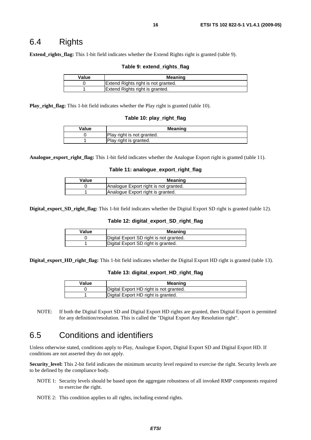### 6.4 Rights

**Extend\_rights\_flag:** This 1-bit field indicates whether the Extend Rights right is granted (table 9).

#### **Table 9: extend\_rights\_flag**

| Value | Meaning                             |
|-------|-------------------------------------|
|       | Extend Rights right is not granted. |
|       | Extend Rights right is granted.     |

**Play\_right\_flag:** This 1-bit field indicates whether the Play right is granted (table 10).

#### **Table 10: play\_right\_flag**

| Value | <b>Meaning</b>             |
|-------|----------------------------|
|       | Play right is not granted. |
|       | Play right is granted.     |

**Analogue\_export\_right\_flag:** This 1-bit field indicates whether the Analogue Export right is granted (table 11).

#### **Table 11: analogue\_export\_right\_flag**

| Value | Meaning                               |
|-------|---------------------------------------|
|       | Analogue Export right is not granted. |
|       | Analogue Export right is granted.     |

**Digital export SD right flag:** This 1-bit field indicates whether the Digital Export SD right is granted (table 12).

#### **Table 12: digital\_export\_SD\_right\_flag**

| Value | Meaning                                 |
|-------|-----------------------------------------|
|       | Digital Export SD right is not granted. |
|       | Digital Export SD right is granted.     |

**Digital\_export\_HD\_right\_flag:** This 1-bit field indicates whether the Digital Export HD right is granted (table 13).

#### **Table 13: digital\_export\_HD\_right\_flag**

| Value | Meaning                                 |
|-------|-----------------------------------------|
|       | Digital Export HD right is not granted. |
|       | Digital Export HD right is granted.     |

NOTE: If both the Digital Export SD and Digital Export HD rights are granted, then Digital Export is permitted for any definition/resolution. This is called the "Digital Export Any Resolution right".

### 6.5 Conditions and identifiers

Unless otherwise stated, conditions apply to Play, Analogue Export, Digital Export SD and Digital Export HD. If conditions are not asserted they do not apply.

**Security\_level:** This 2-bit field indicates the minimum security level required to exercise the right. Security levels are to be defined by the compliance body.

- NOTE 1: Security levels should be based upon the aggregate robustness of all invoked RMP components required to exercise the right.
- NOTE 2: This condition applies to all rights, including extend rights.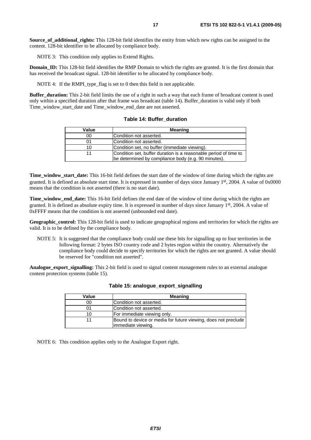**Source of additional rights:** This 128-bit field identifies the entity from which new rights can be assigned to the content. 128-bit identifier to be allocated by compliance body.

NOTE 3: This condition only applies to Extend Rights.

**Domain ID:** This 128-bit field identifies the RMP Domain to which the rights are granted. It is the first domain that has received the broadcast signal. 128-bit identifier to be allocated by compliance body.

NOTE 4: If the RMPI type flag is set to 0 then this field is not applicable.

**Buffer duration:** This 2-bit field limits the use of a right in such a way that each frame of broadcast content is used only within a specified duration after that frame was broadcast (table 14). Buffer\_duration is valid only if both Time\_window\_start\_date and Time\_window\_end\_date are not asserted.

| Value | <b>Meaning</b>                                                                                                          |
|-------|-------------------------------------------------------------------------------------------------------------------------|
| 00    | Condition not asserted.                                                                                                 |
| 01    | Condition not asserted.                                                                                                 |
| 10    | Condition set, no buffer (immediate viewing).                                                                           |
|       | Condition set, buffer duration is a reasonable period of time to<br>be determined by compliance body (e.g. 90 minutes). |

**Table 14: Buffer\_duration** 

**Time\_window\_start\_date:** This 16-bit field defines the start date of the window of time during which the rights are granted. It is defined as absolute start time. It is expressed in number of days since January 1st, 2004. A value of 0x0000 means that the condition is not asserted (there is no start date).

**Time\_window\_end\_date:** This 16-bit field defines the end date of the window of time during which the rights are granted. It is defined as absolute expiry time. It is expressed in number of days since January 1st, 2004. A value of 0xFFFF means that the condition is not asserted (unbounded end date).

**Geographic\_control:** This 128-bit field is used to indicate geographical regions and territories for which the rights are valid. It is to be defined by the compliance body.

NOTE 5: It is suggested that the compliance body could use these bits for signalling up to four territories in the following format: 2 bytes ISO country code and 2 bytes region within the country. Alternatively the compliance body could decide to specify territories for which the rights are not granted. A value should be reserved for "condition not asserted".

**Analogue\_export\_signalling:** This 2-bit field is used to signal content management rules to an external analogue content protection systems (table 15).

| Value | <b>Meaning</b>                                                                       |
|-------|--------------------------------------------------------------------------------------|
| 00    | Condition not asserted.                                                              |
| 01    | Condition not asserted.                                                              |
| 10    | For immediate viewing only.                                                          |
|       | Bound to device or media for future viewing, does not preclude<br>immediate viewing. |

#### **Table 15: analogue\_export\_signalling**

NOTE 6: This condition applies only to the Analogue Export right.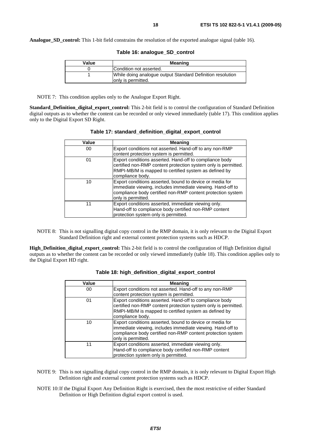**Analogue SD control:** This 1-bit field constrains the resolution of the exported analogue signal (table 16).

| Value | <b>Meaning</b>                                             |
|-------|------------------------------------------------------------|
|       | Condition not asserted.                                    |
|       | While doing analogue output Standard Definition resolution |
|       | only is permitted.                                         |

| Table 16: analogue_SD_control |  |
|-------------------------------|--|
|-------------------------------|--|

NOTE 7: This condition applies only to the Analogue Export Right.

**Standard\_Definition\_digital\_export\_control:** This 2-bit field is to control the configuration of Standard Definition digital outputs as to whether the content can be recorded or only viewed immediately (table 17). This condition applies only to the Digital Export SD Right.

| Value | <b>Meaning</b>                                                                                                                                                                                              |
|-------|-------------------------------------------------------------------------------------------------------------------------------------------------------------------------------------------------------------|
| 00    | Export conditions not asserted. Hand-off to any non-RMP<br>content protection system is permitted.                                                                                                          |
| 01    | Export conditions asserted. Hand-off to compliance body<br>certified non-RMP content protection system only is permitted.<br>RMPI-MB/M is mapped to certified system as defined by<br>compliance body.      |
| 10    | Export conditions asserted, bound to device or media for<br>immediate viewing, includes immediate viewing. Hand-off to<br>compliance body certified non-RMP content protection system<br>only is permitted. |
| 11    | Export conditions asserted, immediate viewing only.<br>Hand-off to compliance body certified non-RMP content<br>protection system only is permitted.                                                        |

| Table 17: standard_definition_digital_export_control |
|------------------------------------------------------|
|------------------------------------------------------|

NOTE 8: This is not signalling digital copy control in the RMP domain, it is only relevant to the Digital Export Standard Definition right and external content protection systems such as HDCP.

**High\_Definition\_digital\_export\_control:** This 2-bit field is to control the configuration of High Definition digital outputs as to whether the content can be recorded or only viewed immediately (table 18). This condition applies only to the Digital Export HD right.

| Value | <b>Meaning</b>                                                                                                                                                                                              |
|-------|-------------------------------------------------------------------------------------------------------------------------------------------------------------------------------------------------------------|
| 00    | Export conditions not asserted. Hand-off to any non-RMP                                                                                                                                                     |
|       | content protection system is permitted.                                                                                                                                                                     |
| 01    | Export conditions asserted. Hand-off to compliance body<br>certified non-RMP content protection system only is permitted.<br>RMPI-MB/M is mapped to certified system as defined by<br>compliance body.      |
| 10    | Export conditions asserted, bound to device or media for<br>immediate viewing, includes immediate viewing. Hand-off to<br>compliance body certified non-RMP content protection system<br>only is permitted. |
| 11    | Export conditions asserted, immediate viewing only.<br>Hand-off to compliance body certified non-RMP content<br>protection system only is permitted.                                                        |

| Table 18: high_definition_digital_export_control |  |  |  |  |
|--------------------------------------------------|--|--|--|--|
|--------------------------------------------------|--|--|--|--|

- NOTE 9: This is not signalling digital copy control in the RMP domain, it is only relevant to Digital Export High Definition right and external content protection systems such as HDCP.
- NOTE 10: If the Digital Export Any Definition Right is exercised, then the most restrictive of either Standard Definition or High Definition digital export control is used.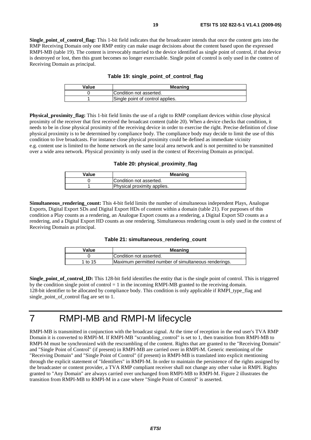**Single** point of control flag: This 1-bit field indicates that the broadcaster intends that once the content gets into the RMP Receiving Domain only one RMP entity can make usage decisions about the content based upon the expressed RMPI-MB (table 19). The content is irrevocably married to the device identified as single point of control, if that device is destroyed or lost, then this grant becomes no longer exercisable. Single point of control is only used in the context of Receiving Domain as principal.

| Table 19: single_point_of_control_flag |  |  |  |  |  |
|----------------------------------------|--|--|--|--|--|
|----------------------------------------|--|--|--|--|--|

| Value | Meaning                          |
|-------|----------------------------------|
|       | Condition not asserted.          |
|       | Single point of control applies. |

**Physical proximity flag:** This 1-bit field limits the use of a right to RMP compliant devices within close physical proximity of the receiver that first received the broadcast content (table 20). When a device checks that condition, it needs to be in close physical proximity of the receiving device in order to exercise the right. Precise definition of close physical proximity is to be determined by compliance body. The compliance body may decide to limit the use of this condition to live broadcasts. For instance close physical proximity could be defined as immediate vicinity e.g. content use is limited to the home network on the same local area network and is not permitted to be transmitted over a wide area network. Physical proximity is only used in the context of Receiving Domain as principal.

**Table 20: physical\_proximity\_flag**

| Value | <b>Meaning</b>              |
|-------|-----------------------------|
|       | Condition not asserted.     |
|       | Physical proximity applies. |

**Simultaneous\_rendering\_count:** This 4-bit field limits the number of simultaneous independent Plays, Analogue Exports, Digital Export SDs and Digital Export HDs of content within a domain (table 21). For purposes of this condition a Play counts as a rendering, an Analogue Export counts as a rendering, a Digital Export SD counts as a rendering, and a Digital Export HD counts as one rendering. Simultaneous rendering count is only used in the context of Receiving Domain as principal.

#### **Table 21: simultaneous\_rendering\_count**

| Value   | <b>Meaning</b>                                       |
|---------|------------------------------------------------------|
|         | Condition not asserted.                              |
| 1 to 15 | Maximum permitted number of simultaneous renderings. |

**Single** point of control **ID:** This 128-bit field identifies the entity that is the single point of control. This is triggered by the condition single point of control  $= 1$  in the incoming RMPI-MB granted to the receiving domain. 128-bit identifier to be allocated by compliance body. This condition is only applicable if RMPI\_type\_flag and single\_point\_of\_control flag are set to 1.

### 7 RMPI-MB and RMPI-M lifecycle

RMPI-MB is transmitted in conjunction with the broadcast signal. At the time of reception in the end user's TVA RMP Domain it is converted to RMPI-M. If RMPI-MB "scrambling\_control" is set to 1, then transition from RMPI-MB to RMPI-M must be synchronized with the rescrambling of the content. Rights that are granted to the "Receiving Domain" and "Single Point of Control" (if present) in RMPI-MB are carried over in RMPI-M. Generic mentioning of the "Receiving Domain" and "Single Point of Control" (if present) in RMPI-MB is translated into explicit mentioning through the explicit statement of "Identifiers" in RMPI-M. In order to maintain the persistence of the rights assigned by the broadcaster or content provider, a TVA RMP compliant receiver shall not change any other value in RMPI. Rights granted to "Any Domain" are always carried over unchanged from RMPI-MB to RMPI-M. Figure 2 illustrates the transition from RMPI-MB to RMPI-M in a case where "Single Point of Control" is asserted.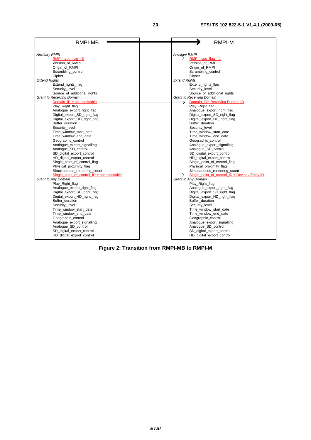| RMPI-MB                                       | <b>RMPI-M</b>                                     |
|-----------------------------------------------|---------------------------------------------------|
|                                               |                                                   |
| <b>Ancillary RMPI</b>                         | <b>Ancillary RMPI</b>                             |
| RMPI type $flag = 0$                          | RMPI type $flag = 1$                              |
| Version of RMPI                               | Version of RMPI                                   |
| Origin of RMPI                                | Origin of RMPI                                    |
| Scrambling_control                            | Scrambling_control                                |
| Cipher                                        | Cipher                                            |
| <b>Extend Rights</b>                          | <b>Extend Rights</b>                              |
| Extend rights flag                            | Extend rights flag                                |
| Security_level                                | Security_level                                    |
| Source_of_additional_rights                   | Source_of_additional_rights                       |
| <b>Grant to Receiving Domain</b>              | <b>Grant to Receiving Domain</b>                  |
| Domain $ID = not applicable$                  | Domain_ID= Receiving Domain ID<br>→               |
| Play Right flag                               | Play Right flag                                   |
| Analogue_export_right_flag                    | Analogue_export_right_flag                        |
| Digital export SD right flag                  | Digital export SD right flag                      |
| Digital_export_HD_right_flag                  | Digital_export_HD_right_flag                      |
| Buffer_duration                               | Buffer_duration                                   |
| Security level<br>Time_window_start_date      | Security level<br>Time_window_start_date          |
| Time window end date                          | Time window end date                              |
| Geographic_control                            | Geographic control                                |
| Analogue_export_signalling                    | Analogue_export_signalling                        |
| Analogue_SD_control                           | Analogue_SD_control                               |
| SD_digital_export_control                     | SD_digital_export_control                         |
| HD digital export control                     | HD digital export control                         |
| Single_point_of_control_flag                  | Single_point_of_control_flag                      |
| Physical_proximity_flag                       | Physical_proximity_flag                           |
| Simultaneous_rendering_count                  | Simultaneous rendering count                      |
| Single point of control $ID = not applicable$ | Single point of control $ID = Device / Entity ID$ |
| Grant to Any Domain                           | Grant to Any Domain                               |
| Play_Right_flag                               | Play_Right_flag                                   |
| Analogue export right flag                    | Analogue_export_right_flag                        |
| Digital_export_SD_right_flag                  | Digital export SD right flag                      |
| Digital_export_HD_right_flag                  | Digital_export_HD_right_flag                      |
| Buffer duration                               | Buffer duration                                   |
| Security_level                                | Security level                                    |
| Time_window_start_date                        | Time_window_start_date                            |
| Time_window_end_date                          | Time_window_end_date                              |
| Geographic_control                            | Geographic_control                                |
| Analogue_export_signalling                    | Analogue_export_signalling                        |
| Analogue_SD_control                           | Analogue_SD_control                               |
| SD_digital_export_control                     | SD_digital_export_control                         |
| HD_digital_export_control                     | HD_digital_export_control                         |

**Figure 2: Transition from RMPI-MB to RMPI-M**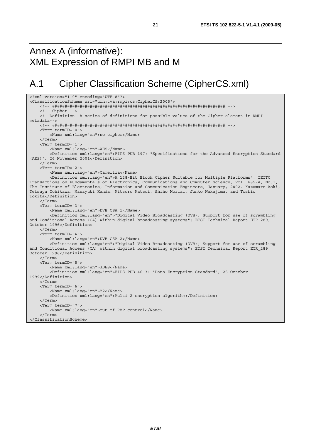# Annex A (informative): XML Expression of RMPI MB and M

# A.1 Cipher Classification Scheme (CipherCS.xml)

```
<?xml version="1.0" encoding="UTF-8"?> 
<ClassificationScheme uri="urn:tva:rmpi:cs:CipherCS:2005"> 
     <!-- ##################################################################### --> 
     <!-- Cipher --> 
     <!--Definition: A series of definitions for possible values of the Cipher element in RMPI 
metadata--> 
     <!-- ##################################################################### --> 
     <Term termID="0"> 
         <Name xml:lang="en">no cipher</Name> 
     </Term> 
     <Term termID="1"> 
         <Name xml:lang="en">AES</Name> 
         <Definition xml:lang="en">FIPS PUB 197: "Specifications for the Advanced Encryption Standard 
(AES)", 26 November 2001</Definition> 
     </Term> 
     <Term termID="2"> 
         <Name xml:lang="en">Camellia</Name> 
         <Definition xml:lang="en">A 128-Bit Block Cipher Suitable for Multiple Platforms", IEITC 
Transactions on Fundamentals of Electronics, Communications and Computer Science, Vol. E85-A, No.1, 
The Institute of Electronics, Information and Communication Engineers, January, 2002. Kazumaro Aoki, 
Tetsuya Ichikawa, Masayuki Kanda, Mitsuru Matsui, Shiho Moriai, Junko Nakajima, and Toshio 
Tokita</Definition> 
     </Term> 
     <Term termID="3"> 
         <Name xml:lang="en">DVB CSA 1</Name> 
         <Definition xml:lang="en">"Digital Video Broadcasting (DVB); Support for use of scrambling 
and Conditional Access (CA) within digital broadcasting systems"; ETSI Technical Report ETR 289,
October 1996</Definition> 
     </Term> 
     <Term termID="4"> 
         <Name xml:lang="en">DVB CSA 2</Name> 
         <Definition xml:lang="en">"Digital Video Broadcasting (DVB); Support for use of scrambling 
and Conditional Access (CA) within digital broadcasting systems"; ETSI Technical Report ETR 289,
October 1996</Definition> 
     </Term> 
     <Term termID="5"> 
         <Name xml:lang="en">3DES</Name> 
         <Definition xml:lang="en">FIPS PUB 46-3: "Data Encryption Standard", 25 October 
1999</Definition> 
     </Term> 
     <Term termID="6"> 
         <Name xml:lang="en">M2</Name> 
         <Definition xml:lang="en">Multi-2 encryption algorithm</Definition> 
     </Term> 
     <Term termID="7"> 
        <Name xml:lang="en">out of RMP control</Name> 
     </Term> 
</ClassificationScheme>
```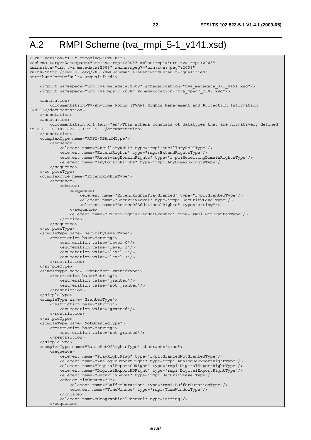# A.2 RMPI Scheme (tva\_rmpi\_5-1\_v141.xsd)

```
<?xml version="1.0" encoding="UTF-8"?> 
<schema targetNamespace="urn:tva:rmpi:2008" xmlns:rmpi="urn:tva:rmpi:2008" 
xmlns:tva="urn:tva:metadata:2008" xmlns:mpeg7="urn:tva:mpeg7:2008" 
xmlns="http://www.w3.org/2001/XMLSchema" elementFormDefault="qualified" 
attributeFormDefault="unqualified"> 
     <import namespace="urn:tva:metadata:2008" schemaLocation="tva_metadata_3-1_v151.xsd"/> 
    \langleimport namespace="urn:tva:mpeg7:2008" schemaLocation="tva_mpeg7_2008.xsd"/>
     <annotation> 
          <documentation>TV-Anytime Forum (TVAF) Rights Management and Protection Information 
(RMPI)</documentation> 
     </annotation> 
    \tanh\arctan <documentation xml:lang="en">This schema consists of datatypes that are normatively defined 
in ETSI TS 102 822-5-1 v1.5.1</documentation> 
     </annotation> 
     <complexType name="RMPI-MBAndMType"> 
         <sequence> 
             <element name="AncillaryRMPI" type="rmpi:AncillaryRMPIType"/> 
              <element name="ExtendRights" type="rmpi:ExtendRightsType"/> 
              <element name="ReceivingDomainRights" type="rmpi:ReceivingDomainRightsType"/> 
             <element name="AnyDomainRights" type="rmpi:AnyDomainRightsType"/> 
         </sequence> 
     </complexType> 
     <complexType name="ExtendRightsType"> 
         <sequence> 
             <choice> 
                  <sequence> 
                      <element name="ExtendRightsFlagGranted" type="rmpi:GrantedType"/> 
                      <element name="SecurityLevel" type="rmpi:SecurityLevelType"/> 
                      <element name="SourceOfAdditionalRights" type="string"/> 
                  </sequence> 
                  <element name="ExtendRightsFlagNotGranted" type="rmpi:NotGrantedType"/> 
             </choice> 
         </sequence> 
     </complexType> 
     <simpleType name="SecurityLevelType"> 
         <restriction base="string"> 
             <enumeration value="level 0"/> 
              <enumeration value="level 1"/> 
             <enumeration value="level 2"/> 
             <enumeration value="level 3"/> 
         </restriction> 
     </simpleType> 
     <simpleType name="GrantedNotGrantedType"> 
         <restriction base="string"> 
             <enumeration value="granted"/> 
             <enumeration value="not granted"/> 
         </restriction> 
     </simpleType> 
     <simpleType name="GrantedType"> 
         <restriction base="string"> 
             <enumeration value="granted"/> 
         </restriction> 
     </simpleType> 
     <simpleType name="NotGrantedType"> 
         <restriction base="string"> 
             <enumeration value="not granted"/> 
         </restriction> 
     </simpleType> 
     <complexType name="BasicSetOfRightsType" abstract="true"> 
         <sequence> 
             <element name="PlayRightFlag" type="rmpi:GrantedNotGrantedType"/> 
              <element name="AnalogueExportRight" type="rmpi:AnalogueExportRightType"/> 
              <element name="DigitalExportSDRight" type="rmpi:DigitalExportRightType"/> 
             <element name="DigitalExportHDRight" type="rmpi:DigitalExportRightType"/> 
              <element name="SecurityLevel" type="rmpi:SecurityLevelType"/> 
             <choice minOccurs="0"> 
                  <element name="BufferDuration" type="rmpi:BufferDurationType"/> 
                  <element name="TimeWindow" type="rmpi:TimeWindowType"/> 
              </choice> 
              <element name="GeographicalControl" type="string"/> 
         </sequence>
```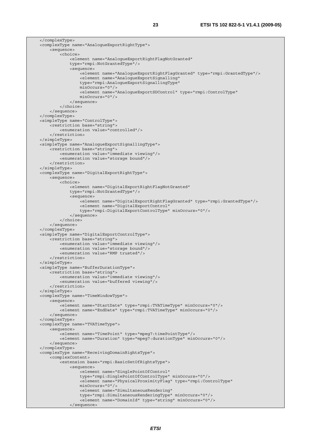</complexType> <complexType name="AnalogueExportRightType"> <sequence> <choice> <element name="AnalogueExportRightFlagNotGranted" type="rmpi:NotGrantedType"/> <sequence> -<br><element name="AnaloqueExportRightFlagGranted" type="rmpi:GrantedType"/> <element name="AnalogueExportSignalling" type="rmpi:AnalogueExportSignallingType" minOccurs="0"/> <element name="AnalogueExportSDControl" type="rmpi:ControlType" minOccurs="0"/> </sequence> </choice> </sequence> </complexType> <simpleType name="ControlType"> <restriction base="string"> <enumeration value="controlled"/> </restriction> </simpleType> <simpleType name="AnalogueExportSignallingType"> <restriction base="string"> <enumeration value="immediate viewing"/> <enumeration value="storage bound"/> </restriction> </simpleType> <complexType name="DigitalExportRightType"> <sequence> <choice> <element name="DigitalExportRightFlagNotGranted" type="rmpi:NotGrantedType"/> <sequence> <element name="DigitalExportRightFlagGranted" type="rmpi:GrantedType"/> <element name="DigitalExportControl" type="rmpi:DigitalExportControlType" minOccurs="0"/> </sequence> </choice> </sequence> </complexType> <simpleType name="DigitalExportControlType"> <restriction base="string"> <enumeration value="immediate viewing"/> <enumeration value="storage bound"/> <enumeration value="RMP trusted"/> </restriction> </simpleType> <simpleType name="BufferDurationType"> <restriction base="string"> <enumeration value="immediate viewing"/> <enumeration value="buffered viewing"/> </restriction> </simpleType> <complexType name="TimeWindowType"> <sequence> <element name="StartDate" type="rmpi:TVATimeType" minOccurs="0"/> <element name="EndDate" type="rmpi:TVATimeType" minOccurs="0"/> </sequence> </complexType> <complexType name="TVATimeType"> <sequence> <element name="TimePoint" type="mpeg7:timePointType"/> <element name="Duration" type="mpeg7:durationType" minOccurs="0"/> </sequence> </complexType> <complexType name="ReceivingDomainRightsType"> <complexContent> <extension base="rmpi:BasicSetOfRightsType"> <sequence> <element name="SinglePointOfControl" type="rmpi:SinglePointOfControlType" minOccurs="0"/> <element name="PhysicalProximityFlag" type="rmpi:ControlType" minOccurs="0"/> <element name="SimultaneousRendering" type="rmpi:SimultaneousRenderingType" minOccurs="0"/> <element name="DomainId" type="string" minOccurs="0"/> </sequence>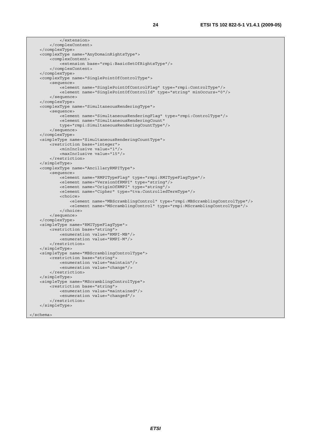```
 </extension> 
     </complexContent> 
 </complexType> 
 <complexType name="AnyDomainRightsType"> 
     <complexContent> 
         <extension base="rmpi:BasicSetOfRightsType"/> 
     </complexContent> 
 </complexType> 
 <complexType name="SinglePointOfControlType"> 
     <sequence> 
         <element name="SinglePointOfControlFlag" type="rmpi:ControlType"/> 
         <element name="SinglePointOfControlId" type="string" minOccurs="0"/> 
     </sequence> 
 </complexType> 
 <complexType name="SimultaneousRenderingType"> 
     <sequence> 
         <element name="SimultaneousRenderingFlag" type="rmpi:ControlType"/> 
         <element name="SimultaneousRenderingCount" 
         type="rmpi:SimultaneousRenderingCountType"/> 
     </sequence> 
 </complexType> 
 <simpleType name="SimultaneousRenderingCountType"> 
     <restriction base="integer"> 
         <minInclusive value="1"/> 
         <maxInclusive value="15"/> 
     </restriction> 
 </simpleType> 
 <complexType name="AncillaryRMPIType"> 
     <sequence> 
         <element name="RMPITypeFlag" type="rmpi:RMITypeFlagType"/> 
         <element name="VersionOfRMPI" type="string"/> 
         <element name="OriginOfRMPI" type="string"/> 
         <element name="Cipher" type="tva:ControlledTermType"/> 
         <choice> 
              <element name="MBScramblingControl" type="rmpi:MBScramblingControlType"/> 
              <element name="MScramblingControl" type="rmpi:MScramblingControlType"/> 
         </choice> 
     </sequence> 
 </complexType> 
 <simpleType name="RMITypeFlagType"> 
    <restriction base="string"
         <enumeration value="RMPI-MB"/> 
         <enumeration value="RMPI-M"/> 
     </restriction> 
 </simpleType> 
 <simpleType name="MBScramblingControlType"> 
     <restriction base="string"> 
         <enumeration value="maintain"/> 
         <enumeration value="change"/> 
     </restriction> 
 </simpleType> 
 <simpleType name="MScramblingControlType"> 
     <restriction base="string"> 
         <enumeration value="maintained"/> 
         <enumeration value="changed"/> 
     </restriction> 
 </simpleType>
```

```
</schema>
```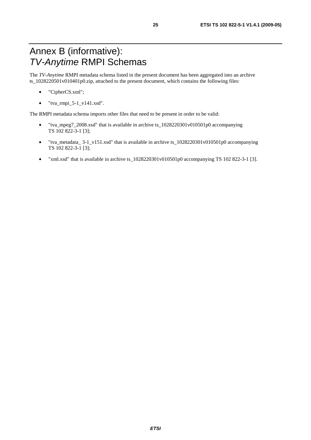# Annex B (informative): *TV-Anytime* RMPI Schemas

The *TV-Anytime* RMPI metadata schema listed in the present document has been aggregated into an archive ts\_1028220501v010401p0.zip, attached to the present document, which contains the following files:

- "CipherCS.xml";
- $\bullet$  "tva\_rmpi\_5-1\_v141.xsd".

The RMPI metadata schema imports other files that need to be present in order to be valid:

- "tva\_mpeg7\_2008.xsd" that is available in archive ts\_1028220301v010501p0 accompanying TS 102 822-3-1 [3];
- "tva\_metadata\_ 3-1\_v151.xsd" that is available in archive ts\_1028220301v010501p0 accompanying TS 102 822-3-1 [3];
- "xml.xsd" that is available in archive ts\_1028220301v010501p0 accompanying TS 102 822-3-1 [3].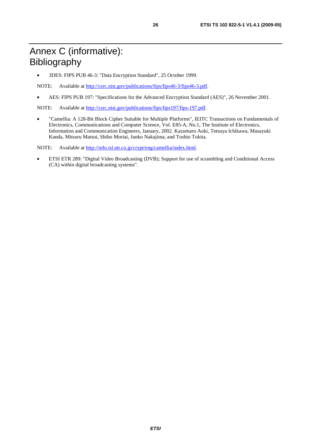• 3DES: FIPS PUB 46-3: "Data Encryption Standard", 25 October 1999.

NOTE: Available at [http://csrc.nist.gov/publications/fips/fips46-3/fips46-3.pdf.](http://csrc.nist.gov/publications/fips/fips46-3/fips46-3.pdf)

• AES: FIPS PUB 197: "Specifications for the Advanced Encryption Standard (AES)", 26 November 2001.

NOTE: Available at [http://csrc.nist.gov/publications/fips/fips197/fips-197.pdf.](http://csrc.nist.gov/publications/fips/fips197/fips-197.pdf)

• "Camellia: A 128-Bit Block Cipher Suitable for Multiple Platforms", IEITC Transactions on Fundamentals of Electronics, Communications and Computer Science, Vol. E85-A, No.1, The Institute of Electronics, Information and Communication Engineers, January, 2002. Kazumaro Aoki, Tetsuya Ichikawa, Masayuki Kanda, Mitsuru Matsui, Shiho Moriai, Junko Nakajima, and Toshio Tokita.

NOTE: Available at [http://info.isl.ntt.co.jp/crypt/eng/camellia/index.html.](http://info.isl.ntt.co.jp/crypt/eng/camellia/index.html)

• ETSI ETR 289: "Digital Video Broadcasting (DVB); Support for use of scrambling and Conditional Access (CA) within digital broadcasting systems".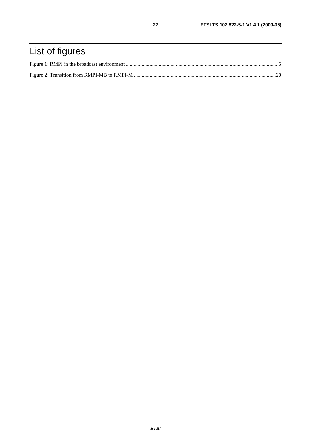# List of figures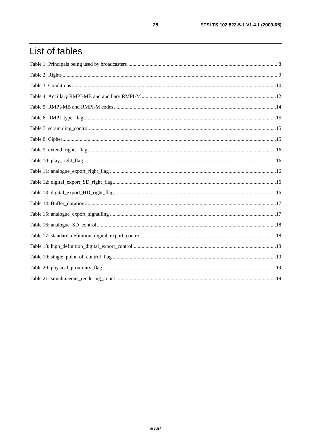# List of tables